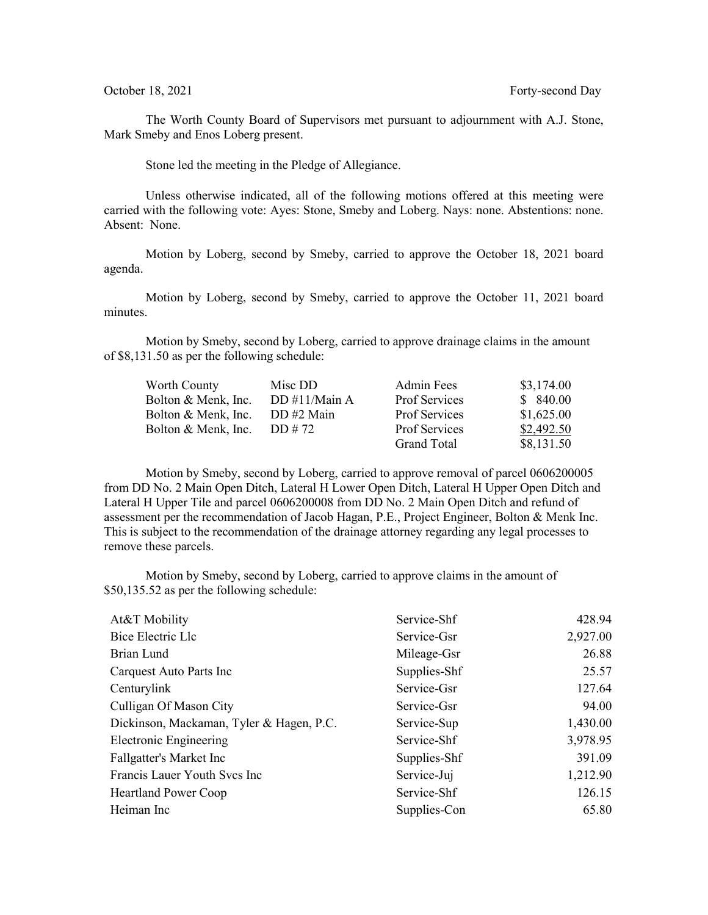The Worth County Board of Supervisors met pursuant to adjournment with A.J. Stone, Mark Smeby and Enos Loberg present.

Stone led the meeting in the Pledge of Allegiance.

Unless otherwise indicated, all of the following motions offered at this meeting were carried with the following vote: Ayes: Stone, Smeby and Loberg. Nays: none. Abstentions: none. Absent: None.

Motion by Loberg, second by Smeby, carried to approve the October 18, 2021 board agenda.

Motion by Loberg, second by Smeby, carried to approve the October 11, 2021 board minutes.

Motion by Smeby, second by Loberg, carried to approve drainage claims in the amount of \$8,131.50 as per the following schedule:

| Worth County        | Misc DD          | Admin Fees           | \$3,174.00 |
|---------------------|------------------|----------------------|------------|
| Bolton & Menk, Inc. | DD $\#11/Main A$ | <b>Prof Services</b> | \$840.00   |
| Bolton & Menk, Inc. | DD #2 Main       | Prof Services        | \$1,625.00 |
| Bolton & Menk, Inc. | DD # 72          | <b>Prof Services</b> | \$2,492.50 |
|                     |                  | <b>Grand Total</b>   | \$8,131.50 |

Motion by Smeby, second by Loberg, carried to approve removal of parcel 0606200005 from DD No. 2 Main Open Ditch, Lateral H Lower Open Ditch, Lateral H Upper Open Ditch and Lateral H Upper Tile and parcel 0606200008 from DD No. 2 Main Open Ditch and refund of assessment per the recommendation of Jacob Hagan, P.E., Project Engineer, Bolton & Menk Inc. This is subject to the recommendation of the drainage attorney regarding any legal processes to remove these parcels.

Motion by Smeby, second by Loberg, carried to approve claims in the amount of \$50,135.52 as per the following schedule:

| Service-Shf  | 428.94   |
|--------------|----------|
| Service-Gsr  | 2,927.00 |
| Mileage-Gsr  | 26.88    |
| Supplies-Shf | 25.57    |
| Service-Gsr  | 127.64   |
| Service-Gsr  | 94.00    |
| Service-Sup  | 1,430.00 |
| Service-Shf  | 3,978.95 |
| Supplies-Shf | 391.09   |
| Service-Juj  | 1,212.90 |
| Service-Shf  | 126.15   |
| Supplies-Con | 65.80    |
|              |          |